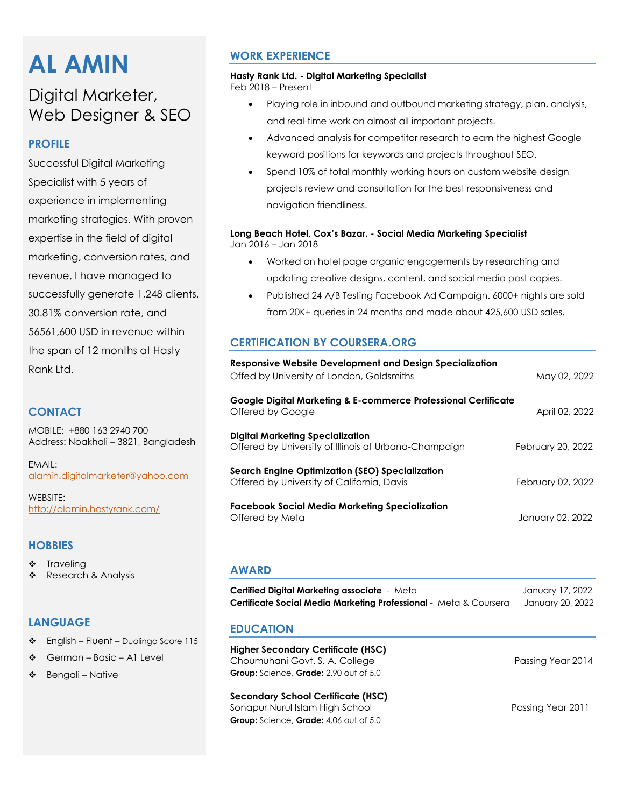# **AL AMIN**

# Digital Marketer, Web Designer & SEO

### **PROFILE**

Successful Digital Marketing Specialist with 5 years of experience in implementing marketing strategies. With proven expertise in the field of digital marketing, conversion rates, and revenue, I have managed to successfully generate 1,248 clients, 30.81% conversion rate, and 56561,600 USD in revenue within the span of 12 months at Hasty Rank Ltd.

#### **CONTACT**

MOBILE: +880 163 2940 700 Address: Noakhali – 3821, Bangladesh

EMAIL: [alamin.digitalmarketer@yahoo.com](mailto:alamin.digitalmarketer@yahoo.com)

WEBSITE: <http://alamin.hastyrank.com/>

#### **HOBBIES**

- ❖ Traveling
- ❖ Research & Analysis

#### **LANGUAGE**

- $\div$  English Fluent Duolingo Score 115
- ❖ German Basic A1 Level
- $\div$  Bengali Native

# **WORK EXPERIENCE**

#### **Hasty Rank Ltd. - Digital Marketing Specialist**

Feb 2018 – Present

- Playing role in inbound and outbound marketing strategy, plan, analysis, and real-time work on almost all important projects.
- Advanced analysis for competitor research to earn the highest Google keyword positions for keywords and projects throughout SEO.
- Spend 10% of total monthly working hours on custom website design projects review and consultation for the best responsiveness and navigation friendliness.

#### **Long Beach Hotel, Cox's Bazar. - Social Media Marketing Specialist**  Jan 2016 – Jan 2018

- Worked on hotel page organic engagements by researching and updating creative designs, content, and social media post copies.
- Published 24 A/B Testing Facebook Ad Campaign. 6000+ nights are sold from 20K+ queries in 24 months and made about 425,600 USD sales.

# **CERTIFICATION BY COURSERA.ORG**

| Responsive Website Development and Design Specialization<br>Offed by University of London, Goldsmiths | May 02, 2022      |
|-------------------------------------------------------------------------------------------------------|-------------------|
| Google Digital Marketing & E-commerce Professional Certificate<br>Offered by Google                   | April 02, 2022    |
| <b>Digital Marketing Specialization</b><br>Offered by University of Illinois at Urbana-Champaign      | February 20, 2022 |
| Search Engine Optimization (SEO) Specialization<br>Offered by University of California, Davis         | February 02, 2022 |
| Facebook Social Media Marketing Specialization<br>Offered by Meta                                     | January 02, 2022  |

#### **AWARD**

| <b>Certified Digital Marketing associate</b> - Meta                      | January 17, 2022 |
|--------------------------------------------------------------------------|------------------|
| <b>Certificate Social Media Marketing Professional</b> - Meta & Coursera | January 20, 2022 |

#### **EDUCATION**

**Higher Secondary Certificate (HSC)**  Choumuhani Govt. S. A. College Passing Year 2014 **Group:** Science, **Grade:** 2.90 out of 5.0

#### **Secondary School Certificate (HSC)**

Sonapur Nurul Islam High School Passing Year 2011 **Group:** Science, **Grade:** 4.06 out of 5.0